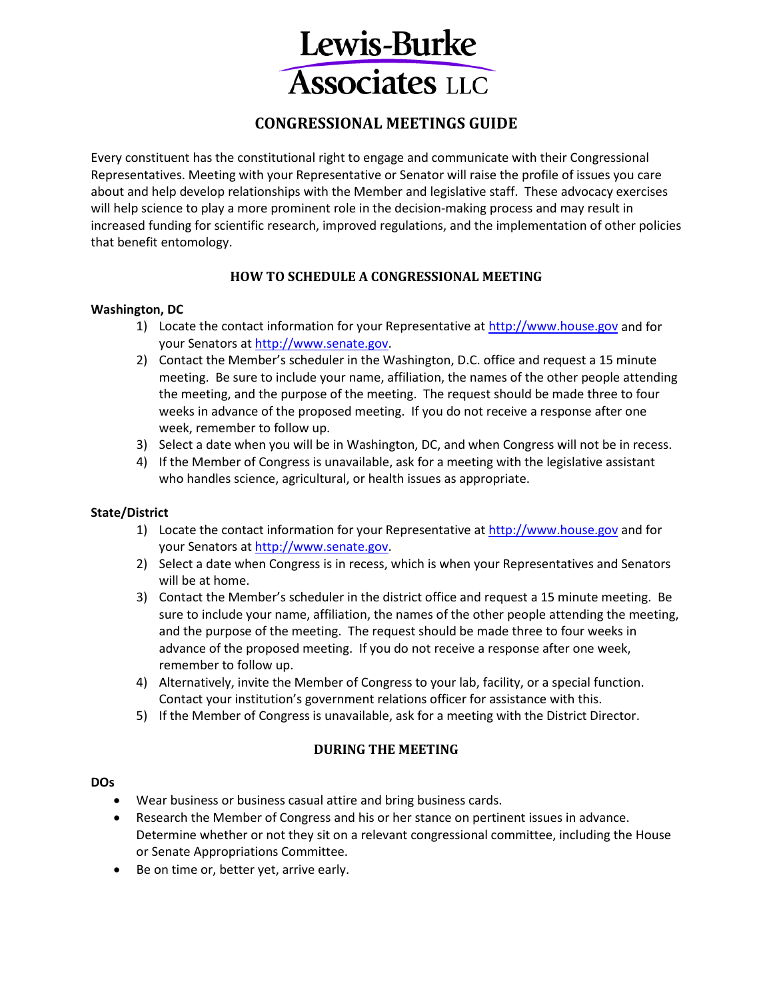

# **CONGRESSIONAL MEETINGS GUIDE**

Every constituent has the constitutional right to engage and communicate with their Congressional Representatives. Meeting with your Representative or Senator will raise the profile of issues you care about and help develop relationships with the Member and legislative staff. These advocacy exercises will help science to play a more prominent role in the decision-making process and may result in increased funding for scientific research, improved regulations, and the implementation of other policies that benefit entomology.

# **HOW TO SCHEDULE A CONGRESSIONAL MEETING**

# **Washington, DC**

- 1) Locate the contact information for your Representative at [http://www.house.gov](http://www.house.gov/) and for your Senators at [http://www.senate.gov.](http://www.senate.gov/)
- 2) Contact the Member's scheduler in the Washington, D.C. office and request a 15 minute meeting. Be sure to include your name, affiliation, the names of the other people attending the meeting, and the purpose of the meeting. The request should be made three to four weeks in advance of the proposed meeting. If you do not receive a response after one week, remember to follow up.
- 3) Select a date when you will be in Washington, DC, and when Congress will not be in recess.
- 4) If the Member of Congress is unavailable, ask for a meeting with the legislative assistant who handles science, agricultural, or health issues as appropriate.

# **State/District**

- 1) Locate the contact information for your Representative at [http://www.house.gov](http://www.house.gov/) and for your Senators at [http://www.senate.gov.](http://www.senate.gov/)
- 2) Select a date when Congress is in recess, which is when your Representatives and Senators will be at home.
- 3) Contact the Member's scheduler in the district office and request a 15 minute meeting. Be sure to include your name, affiliation, the names of the other people attending the meeting, and the purpose of the meeting. The request should be made three to four weeks in advance of the proposed meeting. If you do not receive a response after one week, remember to follow up.
- 4) Alternatively, invite the Member of Congress to your lab, facility, or a special function. Contact your institution's government relations officer for assistance with this.
- 5) If the Member of Congress is unavailable, ask for a meeting with the District Director.

# **DURING THE MEETING**

#### **DOs**

- Wear business or business casual attire and bring business cards.
- Research the Member of Congress and his or her stance on pertinent issues in advance. Determine whether or not they sit on a relevant congressional committee, including the House or Senate Appropriations Committee.
- Be on time or, better yet, arrive early.